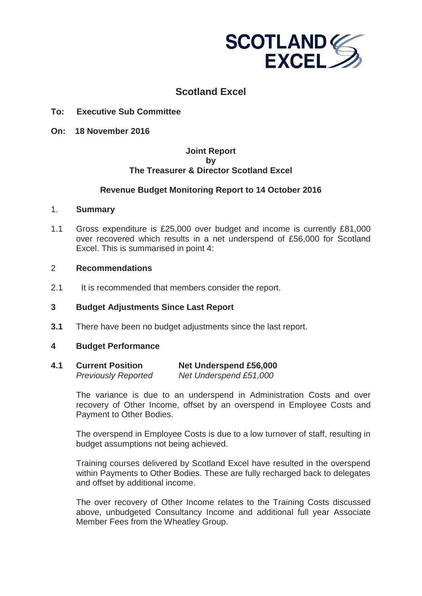

# **Scotland Excel**

## **To: Executive Sub Committee**

**On: 18 November 2016**

## **Joint Report by The Treasurer & Director Scotland Excel**

## **Revenue Budget Monitoring Report to 14 October 2016**

#### 1. **Summary**

1.1 Gross expenditure is £25,000 over budget and income is currently £81,000 over recovered which results in a net underspend of £56,000 for Scotland Excel. This is summarised in point 4:

## 2 **Recommendations**

2.1 It is recommended that members consider the report.

## **3 Budget Adjustments Since Last Report**

**3.1** There have been no budget adjustments since the last report.

#### **4 Budget Performance**

**4.1 Current Position Net Underspend £56,000** *Previously Reported Net Underspend £51,000* 

> The variance is due to an underspend in Administration Costs and over recovery of Other Income, offset by an overspend in Employee Costs and Payment to Other Bodies.

> The overspend in Employee Costs is due to a low turnover of staff, resulting in budget assumptions not being achieved.

> Training courses delivered by Scotland Excel have resulted in the overspend within Payments to Other Bodies. These are fully recharged back to delegates and offset by additional income.

> The over recovery of Other Income relates to the Training Costs discussed above, unbudgeted Consultancy Income and additional full year Associate Member Fees from the Wheatley Group.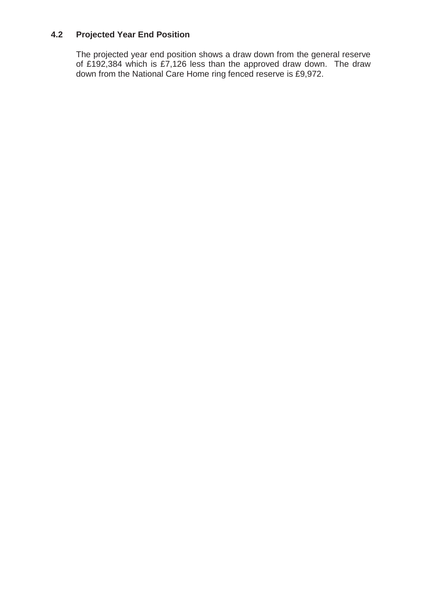# **4.2 Projected Year End Position**

The projected year end position shows a draw down from the general reserve of £192,384 which is £7,126 less than the approved draw down. The draw down from the National Care Home ring fenced reserve is £9,972.